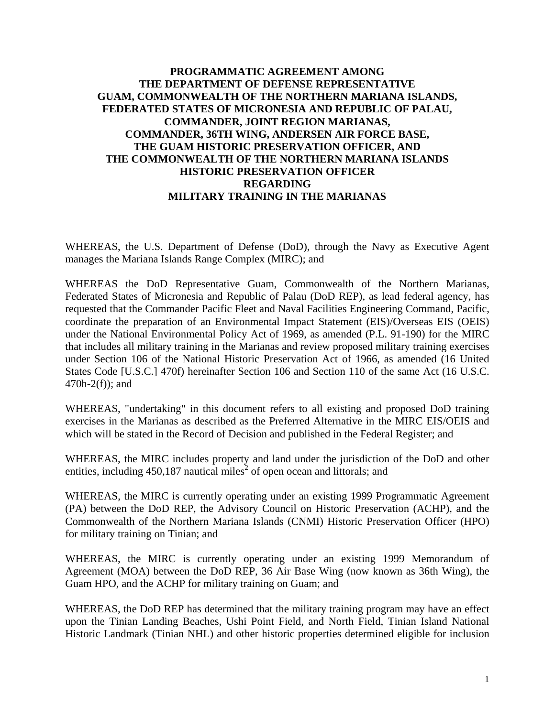## **PROGRAMMATIC AGREEMENT AMONG THE DEPARTMENT OF DEFENSE REPRESENTATIVE GUAM, COMMONWEALTH OF THE NORTHERN MARIANA ISLANDS, FEDERATED STATES OF MICRONESIA AND REPUBLIC OF PALAU, COMMANDER, JOINT REGION MARIANAS, COMMANDER, 36TH WING, ANDERSEN AIR FORCE BASE, THE GUAM HISTORIC PRESERVATION OFFICER, AND THE COMMONWEALTH OF THE NORTHERN MARIANA ISLANDS HISTORIC PRESERVATION OFFICER REGARDING MILITARY TRAINING IN THE MARIANAS**

WHEREAS, the U.S. Department of Defense (DoD), through the Navy as Executive Agent manages the Mariana Islands Range Complex (MIRC); and

WHEREAS the DoD Representative Guam, Commonwealth of the Northern Marianas, Federated States of Micronesia and Republic of Palau (DoD REP), as lead federal agency, has requested that the Commander Pacific Fleet and Naval Facilities Engineering Command, Pacific, coordinate the preparation of an Environmental Impact Statement (EIS)/Overseas EIS (OEIS) under the National Environmental Policy Act of 1969, as amended (P.L. 91-190) for the MIRC that includes all military training in the Marianas and review proposed military training exercises under Section 106 of the National Historic Preservation Act of 1966, as amended (16 United States Code [U.S.C.] 470f) hereinafter Section 106 and Section 110 of the same Act (16 U.S.C. 470h-2(f)); and

WHEREAS, "undertaking" in this document refers to all existing and proposed DoD training exercises in the Marianas as described as the Preferred Alternative in the MIRC EIS/OEIS and which will be stated in the Record of Decision and published in the Federal Register; and

WHEREAS, the MIRC includes property and land under the jurisdiction of the DoD and other entities, including  $450,187$  nautical miles<sup>2</sup> of open ocean and littorals; and

WHEREAS, the MIRC is currently operating under an existing 1999 Programmatic Agreement (PA) between the DoD REP, the Advisory Council on Historic Preservation (ACHP), and the Commonwealth of the Northern Mariana Islands (CNMI) Historic Preservation Officer (HPO) for military training on Tinian; and

WHEREAS, the MIRC is currently operating under an existing 1999 Memorandum of Agreement (MOA) between the DoD REP, 36 Air Base Wing (now known as 36th Wing), the Guam HPO, and the ACHP for military training on Guam; and

WHEREAS, the DoD REP has determined that the military training program may have an effect upon the Tinian Landing Beaches, Ushi Point Field, and North Field, Tinian Island National Historic Landmark (Tinian NHL) and other historic properties determined eligible for inclusion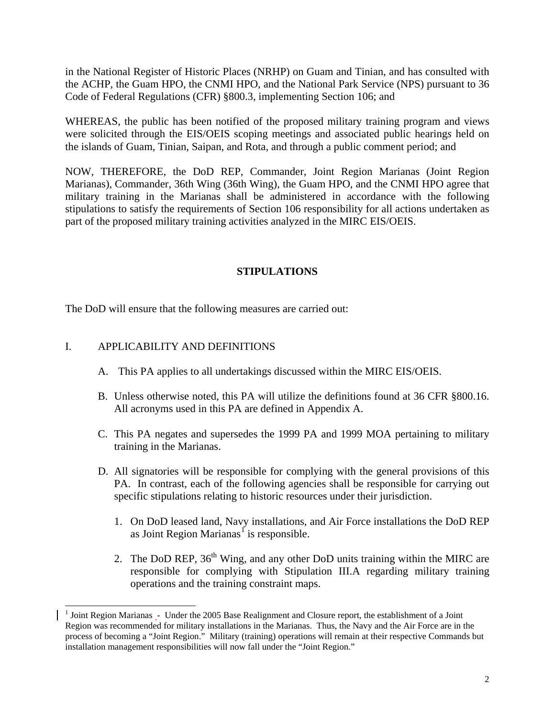in the National Register of Historic Places (NRHP) on Guam and Tinian, and has consulted with the ACHP, the Guam HPO, the CNMI HPO, and the National Park Service (NPS) pursuant to 36 Code of Federal Regulations (CFR) §800.3, implementing Section 106; and

WHEREAS, the public has been notified of the proposed military training program and views were solicited through the EIS/OEIS scoping meetings and associated public hearing*s* held on the islands of Guam, Tinian, Saipan, and Rota, and through a public comment period; and

NOW, THEREFORE, the DoD REP, Commander, Joint Region Marianas (Joint Region Marianas), Commander, 36th Wing (36th Wing), the Guam HPO, and the CNMI HPO agree that military training in the Marianas shall be administered in accordance with the following stipulations to satisfy the requirements of Section 106 responsibility for all actions undertaken as part of the proposed military training activities analyzed in the MIRC EIS/OEIS.

## **STIPULATIONS**

The DoD will ensure that the following measures are carried out:

## I. APPLICABILITY AND DEFINITIONS

 $\overline{a}$ 

- A. This PA applies to all undertakings discussed within the MIRC EIS/OEIS.
- B. Unless otherwise noted, this PA will utilize the definitions found at 36 CFR §800.16. All acronyms used in this PA are defined in Appendix A.
- C. This PA negates and supersedes the 1999 PA and 1999 MOA pertaining to military training in the Marianas.
- D. All signatories will be responsible for complying with the general provisions of this PA. In contrast, each of the following agencies shall be responsible for carrying out specific stipulations relating to historic resources under their jurisdiction.
	- 1. On DoD leased land, Navy installations, and Air Force installations the DoD REP as Joint Region Marianas<sup>[1](#page-1-0)</sup> is responsible.
	- 2. The DoD REP,  $36<sup>th</sup>$  Wing, and any other DoD units training within the MIRC are responsible for complying with Stipulation III.A regarding military training operations and the training constraint maps.

<span id="page-1-0"></span> $<sup>1</sup>$  Joint Region Marianas  $<sub>-</sub>$  Under the 2005 Base Realignment and Closure report, the establishment of a Joint</sup></sub> Region was recommended for military installations in the Marianas. Thus, the Navy and the Air Force are in the process of becoming a "Joint Region." Military (training) operations will remain at their respective Commands but installation management responsibilities will now fall under the "Joint Region."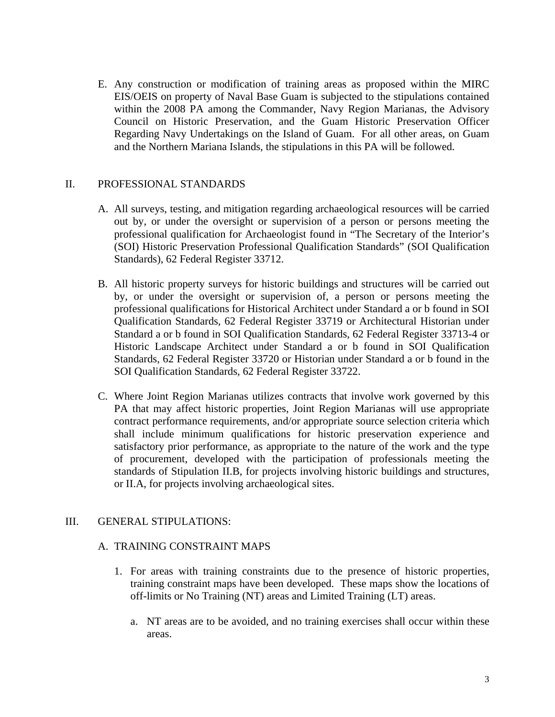E. Any construction or modification of training areas as proposed within the MIRC EIS/OEIS on property of Naval Base Guam is subjected to the stipulations contained within the 2008 PA among the Commander, Navy Region Marianas, the Advisory Council on Historic Preservation, and the Guam Historic Preservation Officer Regarding Navy Undertakings on the Island of Guam. For all other areas, on Guam and the Northern Mariana Islands, the stipulations in this PA will be followed.

## II. PROFESSIONAL STANDARDS

- A. All surveys, testing, and mitigation regarding archaeological resources will be carried out by, or under the oversight or supervision of a person or persons meeting the professional qualification for Archaeologist found in "The Secretary of the Interior's (SOI) Historic Preservation Professional Qualification Standards" (SOI Qualification Standards), 62 Federal Register 33712.
- B. All historic property surveys for historic buildings and structures will be carried out by, or under the oversight or supervision of, a person or persons meeting the professional qualifications for Historical Architect under Standard a or b found in SOI Qualification Standards, 62 Federal Register 33719 or Architectural Historian under Standard a or b found in SOI Qualification Standards, 62 Federal Register 33713-4 or Historic Landscape Architect under Standard a or b found in SOI Qualification Standards, 62 Federal Register 33720 or Historian under Standard a or b found in the SOI Qualification Standards, 62 Federal Register 33722.
- C. Where Joint Region Marianas utilizes contracts that involve work governed by this PA that may affect historic properties, Joint Region Marianas will use appropriate contract performance requirements, and/or appropriate source selection criteria which shall include minimum qualifications for historic preservation experience and satisfactory prior performance, as appropriate to the nature of the work and the type of procurement, developed with the participation of professionals meeting the standards of Stipulation II.B, for projects involving historic buildings and structures, or II.A, for projects involving archaeological sites.

## III. GENERAL STIPULATIONS:

## A. TRAINING CONSTRAINT MAPS

- 1. For areas with training constraints due to the presence of historic properties, training constraint maps have been developed. These maps show the locations of off-limits or No Training (NT) areas and Limited Training (LT) areas.
	- a. NT areas are to be avoided, and no training exercises shall occur within these areas.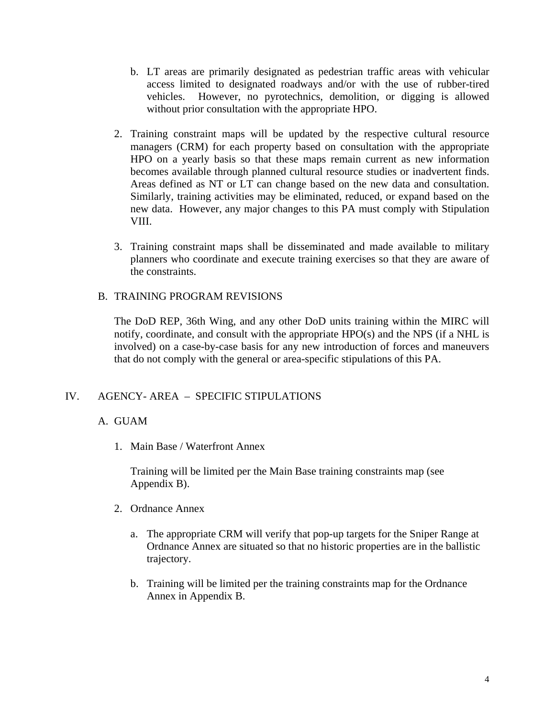- b. LT areas are primarily designated as pedestrian traffic areas with vehicular access limited to designated roadways and/or with the use of rubber-tired vehicles. However, no pyrotechnics, demolition, or digging is allowed without prior consultation with the appropriate HPO.
- 2. Training constraint maps will be updated by the respective cultural resource managers (CRM) for each property based on consultation with the appropriate HPO on a yearly basis so that these maps remain current as new information becomes available through planned cultural resource studies or inadvertent finds. Areas defined as NT or LT can change based on the new data and consultation. Similarly, training activities may be eliminated, reduced, or expand based on the new data. However, any major changes to this PA must comply with Stipulation VIII.
- 3. Training constraint maps shall be disseminated and made available to military planners who coordinate and execute training exercises so that they are aware of the constraints.

## B. TRAINING PROGRAM REVISIONS

The DoD REP, 36th Wing, and any other DoD units training within the MIRC will notify, coordinate, and consult with the appropriate HPO(s) and the NPS (if a NHL is involved) on a case-by-case basis for any new introduction of forces and maneuvers that do not comply with the general or area-specific stipulations of this PA.

## IV. AGENCY- AREA – SPECIFIC STIPULATIONS

## A. GUAM

1. Main Base / Waterfront Annex

Training will be limited per the Main Base training constraints map (see Appendix B).

- 2. Ordnance Annex
	- a. The appropriate CRM will verify that pop-up targets for the Sniper Range at Ordnance Annex are situated so that no historic properties are in the ballistic trajectory.
	- b. Training will be limited per the training constraints map for the Ordnance Annex in Appendix B.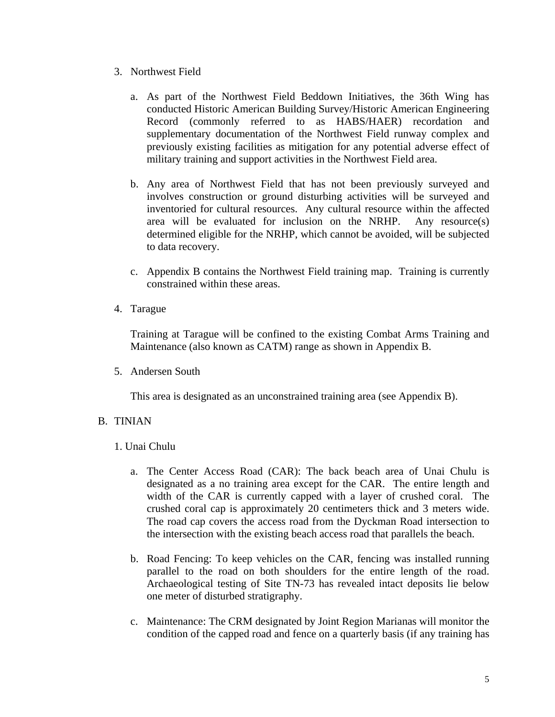- 3. Northwest Field
	- a. As part of the Northwest Field Beddown Initiatives, the 36th Wing has conducted Historic American Building Survey/Historic American Engineering Record (commonly referred to as HABS/HAER) recordation and supplementary documentation of the Northwest Field runway complex and previously existing facilities as mitigation for any potential adverse effect of military training and support activities in the Northwest Field area.
	- b. Any area of Northwest Field that has not been previously surveyed and involves construction or ground disturbing activities will be surveyed and inventoried for cultural resources. Any cultural resource within the affected area will be evaluated for inclusion on the NRHP. Any resource(s) determined eligible for the NRHP, which cannot be avoided, will be subjected to data recovery.
	- c. Appendix B contains the Northwest Field training map. Training is currently constrained within these areas.
- 4. Tarague

Training at Tarague will be confined to the existing Combat Arms Training and Maintenance (also known as CATM) range as shown in Appendix B.

5. Andersen South

This area is designated as an unconstrained training area (see Appendix B).

## B. TINIAN

## 1. Unai Chulu

- a. The Center Access Road (CAR): The back beach area of Unai Chulu is designated as a no training area except for the CAR. The entire length and width of the CAR is currently capped with a layer of crushed coral. The crushed coral cap is approximately 20 centimeters thick and 3 meters wide. The road cap covers the access road from the Dyckman Road intersection to the intersection with the existing beach access road that parallels the beach.
- b. Road Fencing: To keep vehicles on the CAR, fencing was installed running parallel to the road on both shoulders for the entire length of the road. Archaeological testing of Site TN-73 has revealed intact deposits lie below one meter of disturbed stratigraphy.
- c. Maintenance: The CRM designated by Joint Region Marianas will monitor the condition of the capped road and fence on a quarterly basis (if any training has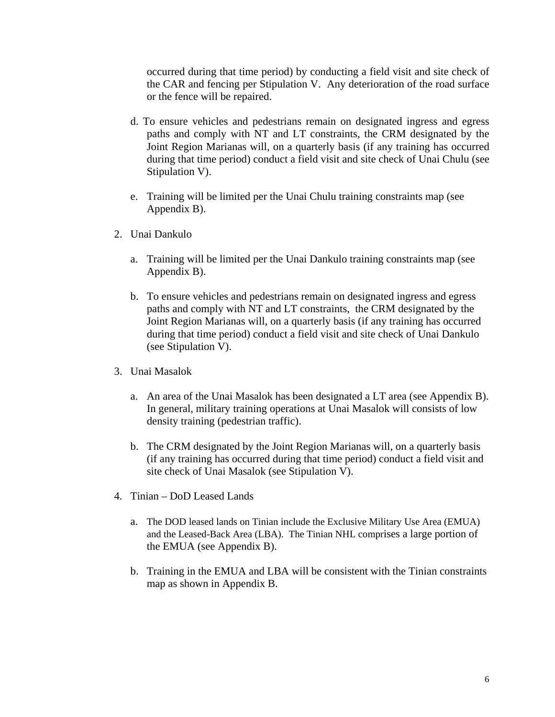occurred during that time period) by conducting a field visit and site check of the CAR and fencing per Stipulation V. Any deterioration of the road surface or the fence will be repaired.

- d. To ensure vehicles and pedestrians remain on designated ingress and egress paths and comply with NT and LT constraints, the CRM designated by the Joint Region Marianas will, on a quarterly basis (if any training has occurred during that time period) conduct a field visit and site check of Unai Chulu (see Stipulation V).
- e. Training will be limited per the Unai Chulu training constraints map (see Appendix B).
- 2. Unai Dankulo
	- a. Training will be limited per the Unai Dankulo training constraints map (see Appendix B).
	- b. To ensure vehicles and pedestrians remain on designated ingress and egress paths and comply with NT and LT constraints, the CRM designated by the Joint Region Marianas will, on a quarterly basis (if any training has occurred during that time period) conduct a field visit and site check of Unai Dankulo (see Stipulation V).
- 3. Unai Masalok
	- a. An area of the Unai Masalok has been designated a LT area (see Appendix B). In general, military training operations at Unai Masalok will consists of low density training (pedestrian traffic).
	- b. The CRM designated by the Joint Region Marianas will, on a quarterly basis (if any training has occurred during that time period) conduct a field visit and site check of Unai Masalok (see Stipulation V).
- 4. Tinian DoD Leased Lands
	- a. The DOD leased lands on Tinian include the Exclusive Military Use Area (EMUA) and the Leased-Back Area (LBA). The Tinian NHL comprises a large portion of the EMUA (see Appendix B).
	- b. Training in the EMUA and LBA will be consistent with the Tinian constraints map as shown in Appendix B.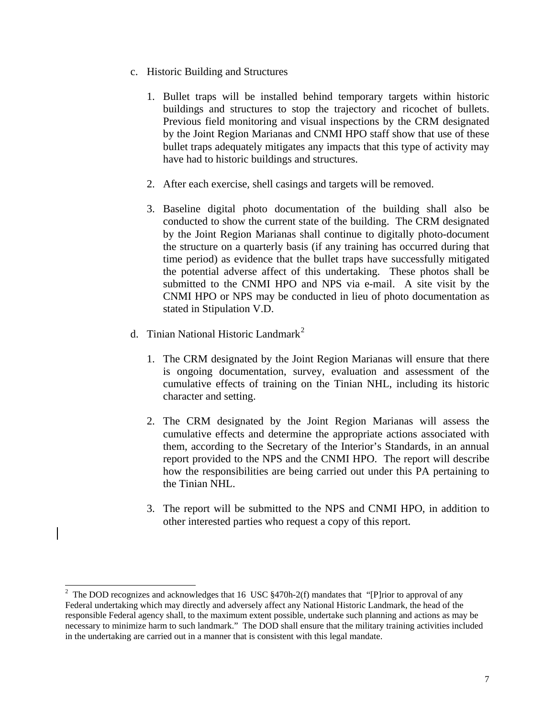- c. Historic Building and Structures
	- 1. Bullet traps will be installed behind temporary targets within historic buildings and structures to stop the trajectory and ricochet of bullets. Previous field monitoring and visual inspections by the CRM designated by the Joint Region Marianas and CNMI HPO staff show that use of these bullet traps adequately mitigates any impacts that this type of activity may have had to historic buildings and structures.
	- 2. After each exercise, shell casings and targets will be removed.
	- 3. Baseline digital photo documentation of the building shall also be conducted to show the current state of the building. The CRM designated by the Joint Region Marianas shall continue to digitally photo-document the structure on a quarterly basis (if any training has occurred during that time period) as evidence that the bullet traps have successfully mitigated the potential adverse affect of this undertaking. These photos shall be submitted to the CNMI HPO and NPS via e-mail. A site visit by the CNMI HPO or NPS may be conducted in lieu of photo documentation as stated in Stipulation V.D.
- d. Tinian National Historic Landmark<sup>[2](#page-6-0)</sup>
	- 1. The CRM designated by the Joint Region Marianas will ensure that there is ongoing documentation, survey, evaluation and assessment of the cumulative effects of training on the Tinian NHL, including its historic character and setting.
	- 2. The CRM designated by the Joint Region Marianas will assess the cumulative effects and determine the appropriate actions associated with them, according to the Secretary of the Interior's Standards, in an annual report provided to the NPS and the CNMI HPO. The report will describe how the responsibilities are being carried out under this PA pertaining to the Tinian NHL.
	- 3. The report will be submitted to the NPS and CNMI HPO, in addition to other interested parties who request a copy of this report.

<span id="page-6-0"></span><sup>&</sup>lt;sup>2</sup> The DOD recognizes and acknowledges that 16 USC §470h-2(f) mandates that "[P]rior to approval of any Federal undertaking which may directly and adversely affect any National Historic Landmark, the head of the responsible Federal agency shall, to the maximum extent possible, undertake such planning and actions as may be necessary to minimize harm to such landmark." The DOD shall ensure that the military training activities included in the undertaking are carried out in a manner that is consistent with this legal mandate.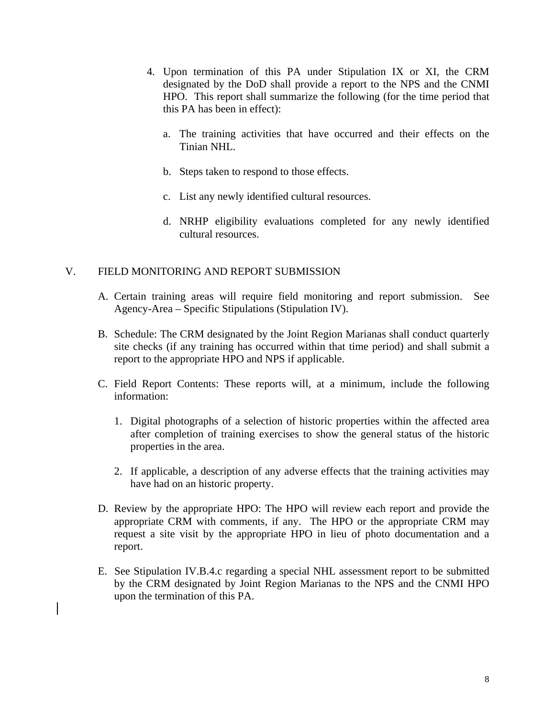- 4. Upon termination of this PA under Stipulation IX or XI, the CRM designated by the DoD shall provide a report to the NPS and the CNMI HPO. This report shall summarize the following (for the time period that this PA has been in effect):
	- a. The training activities that have occurred and their effects on the Tinian NHL.
	- b. Steps taken to respond to those effects.
	- c. List any newly identified cultural resources.
	- d. NRHP eligibility evaluations completed for any newly identified cultural resources.

## V. FIELD MONITORING AND REPORT SUBMISSION

- A. Certain training areas will require field monitoring and report submission. See Agency-Area – Specific Stipulations (Stipulation IV).
- B. Schedule: The CRM designated by the Joint Region Marianas shall conduct quarterly site checks (if any training has occurred within that time period) and shall submit a report to the appropriate HPO and NPS if applicable.
- C. Field Report Contents: These reports will, at a minimum, include the following information:
	- 1. Digital photographs of a selection of historic properties within the affected area after completion of training exercises to show the general status of the historic properties in the area.
	- 2. If applicable, a description of any adverse effects that the training activities may have had on an historic property.
- D. Review by the appropriate HPO: The HPO will review each report and provide the appropriate CRM with comments, if any. The HPO or the appropriate CRM may request a site visit by the appropriate HPO in lieu of photo documentation and a report.
- E. See Stipulation IV.B.4.c regarding a special NHL assessment report to be submitted by the CRM designated by Joint Region Marianas to the NPS and the CNMI HPO upon the termination of this PA.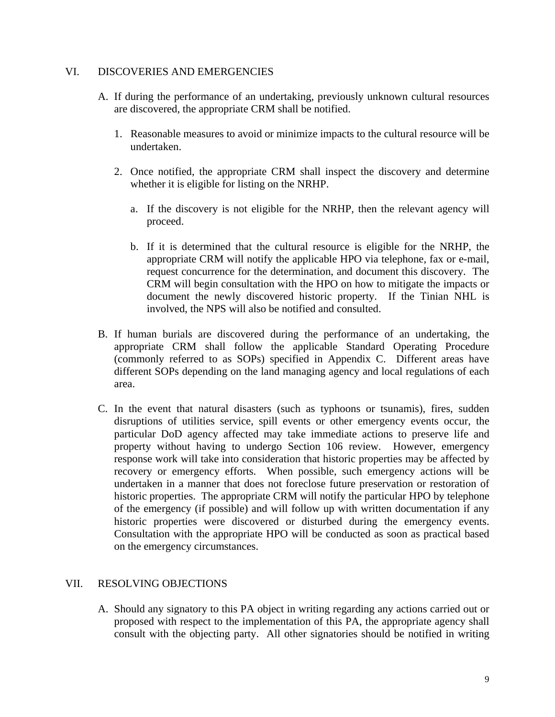## VI. DISCOVERIES AND EMERGENCIES

- A. If during the performance of an undertaking, previously unknown cultural resources are discovered, the appropriate CRM shall be notified.
	- 1. Reasonable measures to avoid or minimize impacts to the cultural resource will be undertaken.
	- 2. Once notified, the appropriate CRM shall inspect the discovery and determine whether it is eligible for listing on the NRHP.
		- a. If the discovery is not eligible for the NRHP, then the relevant agency will proceed.
		- b. If it is determined that the cultural resource is eligible for the NRHP, the appropriate CRM will notify the applicable HPO via telephone, fax or e-mail, request concurrence for the determination, and document this discovery. The CRM will begin consultation with the HPO on how to mitigate the impacts or document the newly discovered historic property. If the Tinian NHL is involved, the NPS will also be notified and consulted.
- B. If human burials are discovered during the performance of an undertaking, the appropriate CRM shall follow the applicable Standard Operating Procedure (commonly referred to as SOPs) specified in Appendix C. Different areas have different SOPs depending on the land managing agency and local regulations of each area.
- C. In the event that natural disasters (such as typhoons or tsunamis), fires, sudden disruptions of utilities service, spill events or other emergency events occur, the particular DoD agency affected may take immediate actions to preserve life and property without having to undergo Section 106 review. However, emergency response work will take into consideration that historic properties may be affected by recovery or emergency efforts. When possible, such emergency actions will be undertaken in a manner that does not foreclose future preservation or restoration of historic properties. The appropriate CRM will notify the particular HPO by telephone of the emergency (if possible) and will follow up with written documentation if any historic properties were discovered or disturbed during the emergency events. Consultation with the appropriate HPO will be conducted as soon as practical based on the emergency circumstances.

## VII. RESOLVING OBJECTIONS

A. Should any signatory to this PA object in writing regarding any actions carried out or proposed with respect to the implementation of this PA, the appropriate agency shall consult with the objecting party. All other signatories should be notified in writing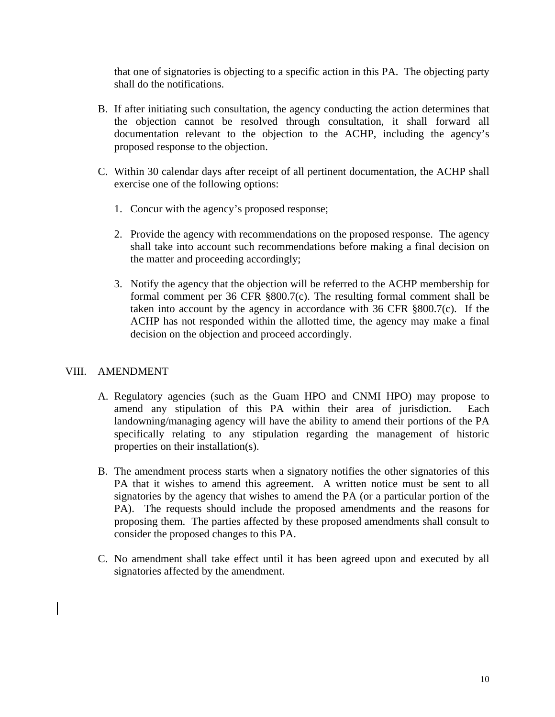that one of signatories is objecting to a specific action in this PA. The objecting party shall do the notifications.

- B. If after initiating such consultation, the agency conducting the action determines that the objection cannot be resolved through consultation, it shall forward all documentation relevant to the objection to the ACHP, including the agency's proposed response to the objection.
- C. Within 30 calendar days after receipt of all pertinent documentation, the ACHP shall exercise one of the following options:
	- 1. Concur with the agency's proposed response;
	- 2. Provide the agency with recommendations on the proposed response. The agency shall take into account such recommendations before making a final decision on the matter and proceeding accordingly;
	- 3. Notify the agency that the objection will be referred to the ACHP membership for formal comment per 36 CFR §800.7(c). The resulting formal comment shall be taken into account by the agency in accordance with 36 CFR §800.7(c). If the ACHP has not responded within the allotted time, the agency may make a final decision on the objection and proceed accordingly.

## VIII. AMENDMENT

- A. Regulatory agencies (such as the Guam HPO and CNMI HPO) may propose to amend any stipulation of this PA within their area of jurisdiction. Each landowning/managing agency will have the ability to amend their portions of the PA specifically relating to any stipulation regarding the management of historic properties on their installation(s).
- B. The amendment process starts when a signatory notifies the other signatories of this PA that it wishes to amend this agreement. A written notice must be sent to all signatories by the agency that wishes to amend the PA (or a particular portion of the PA). The requests should include the proposed amendments and the reasons for proposing them. The parties affected by these proposed amendments shall consult to consider the proposed changes to this PA.
- C. No amendment shall take effect until it has been agreed upon and executed by all signatories affected by the amendment.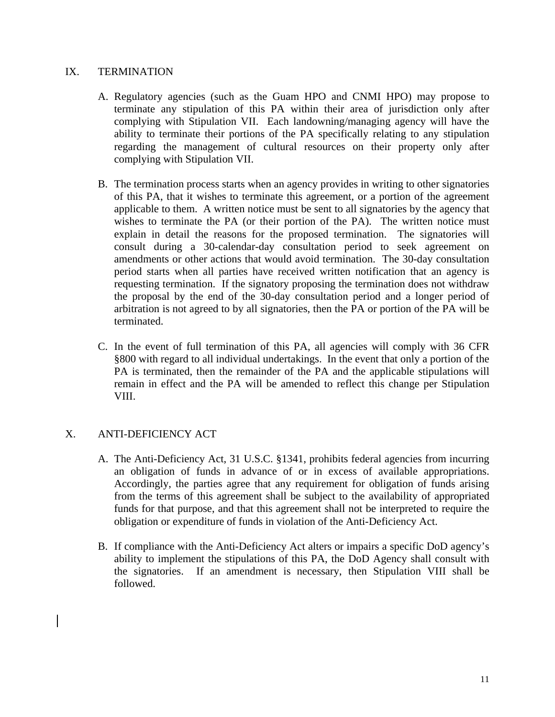## IX. TERMINATION

- A. Regulatory agencies (such as the Guam HPO and CNMI HPO) may propose to terminate any stipulation of this PA within their area of jurisdiction only after complying with Stipulation VII. Each landowning/managing agency will have the ability to terminate their portions of the PA specifically relating to any stipulation regarding the management of cultural resources on their property only after complying with Stipulation VII.
- B. The termination process starts when an agency provides in writing to other signatories of this PA, that it wishes to terminate this agreement, or a portion of the agreement applicable to them. A written notice must be sent to all signatories by the agency that wishes to terminate the PA (or their portion of the PA). The written notice must explain in detail the reasons for the proposed termination. The signatories will consult during a 30-calendar-day consultation period to seek agreement on amendments or other actions that would avoid termination. The 30-day consultation period starts when all parties have received written notification that an agency is requesting termination. If the signatory proposing the termination does not withdraw the proposal by the end of the 30-day consultation period and a longer period of arbitration is not agreed to by all signatories, then the PA or portion of the PA will be terminated.
- C. In the event of full termination of this PA, all agencies will comply with 36 CFR §800 with regard to all individual undertakings. In the event that only a portion of the PA is terminated, then the remainder of the PA and the applicable stipulations will remain in effect and the PA will be amended to reflect this change per Stipulation VIII.

## X. ANTI-DEFICIENCY ACT

- A. The Anti-Deficiency Act, 31 U.S.C. §1341, prohibits federal agencies from incurring an obligation of funds in advance of or in excess of available appropriations. Accordingly, the parties agree that any requirement for obligation of funds arising from the terms of this agreement shall be subject to the availability of appropriated funds for that purpose, and that this agreement shall not be interpreted to require the obligation or expenditure of funds in violation of the Anti-Deficiency Act.
- B. If compliance with the Anti-Deficiency Act alters or impairs a specific DoD agency's ability to implement the stipulations of this PA, the DoD Agency shall consult with the signatories. If an amendment is necessary, then Stipulation VIII shall be followed.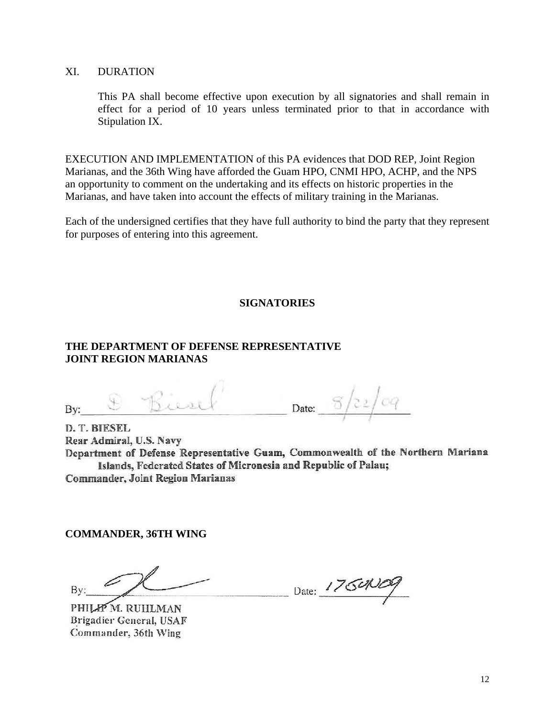## XI. DURATION

This PA shall become effective upon execution by all signatories and shall remain in effect for a period of 10 years unless terminated prior to that in accordance with Stipulation IX.

EXECUTION AND IMPLEMENTATION of this PA evidences that DOD REP, Joint Region Marianas, and the 36th Wing have afforded the Guam HPO, CNMI HPO, ACHP, and the NPS an opportunity to comment on the undertaking and its effects on historic properties in the Marianas, and have taken into account the effects of military training in the Marianas.

Each of the undersigned certifies that they have full authority to bind the party that they represent for purposes of entering into this agreement.

## **SIGNATORIES**

## **THE DEPARTMENT OF DEFENSE REPRESENTATIVE JOINT REGION MARIANAS**

By:  $\circledast$  Bient Date:  $\circledcirc$   $\circledcirc$ 

**D. T. BIESEL Rear Admiral, U.S. Navy Department of Defense Representative Guam, Commonwealth of the Northern Mariana Islands, Federated States of Micronesia and Republic of Palau; Commander, Joint Region Marianas** 

**COMMANDER, 36TH WING** 

 $By: 2001111100, 2001111000, 2001111000, 2001111000, 2001111000, 2001111000, 200111000, 200111000, 200111000, 200111000, 200111000, 200111000, 200111000, 200111000, 200111000, 200111000, 200111000, 200111000, 200111000, 20$ 

PHILIP M. RUHLMAN<br>Brigadier General, USAF **Commander** 36th Wing **Commander, 36th Wing**